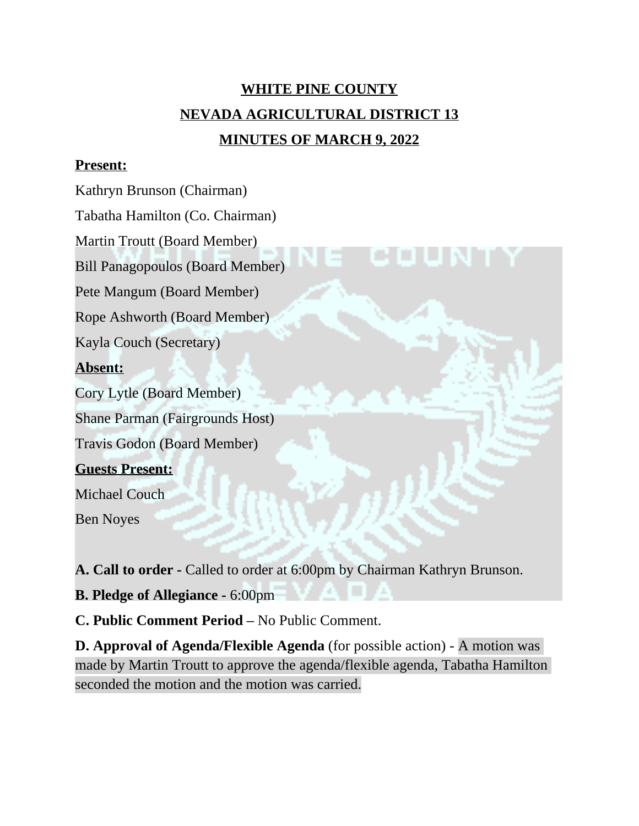# **WHITE PINE COUNTY NEVADA AGRICULTURAL DISTRICT 13 MINUTES OF MARCH 9, 2022**

#### **Present:**

Kathryn Brunson (Chairman)

Tabatha Hamilton (Co. Chairman)

Martin Troutt (Board Member)

Bill Panagopoulos (Board Member)

Pete Mangum (Board Member)

Rope Ashworth (Board Member)

Kayla Couch (Secretary)

# **Absent:**

Cory Lytle (Board Member)

Shane Parman (Fairgrounds Host)

Travis Godon (Board Member)

# **Guests Present:**

Michael Couch

Ben Noyes

**A. Call to order -** Called to order at 6:00pm by Chairman Kathryn Brunson.

**B. Pledge of Allegiance -** 6:00pm

**C. Public Comment Period –** No Public Comment.

**D. Approval of Agenda/Flexible Agenda** (for possible action) - A motion was made by Martin Troutt to approve the agenda/flexible agenda, Tabatha Hamilton seconded the motion and the motion was carried.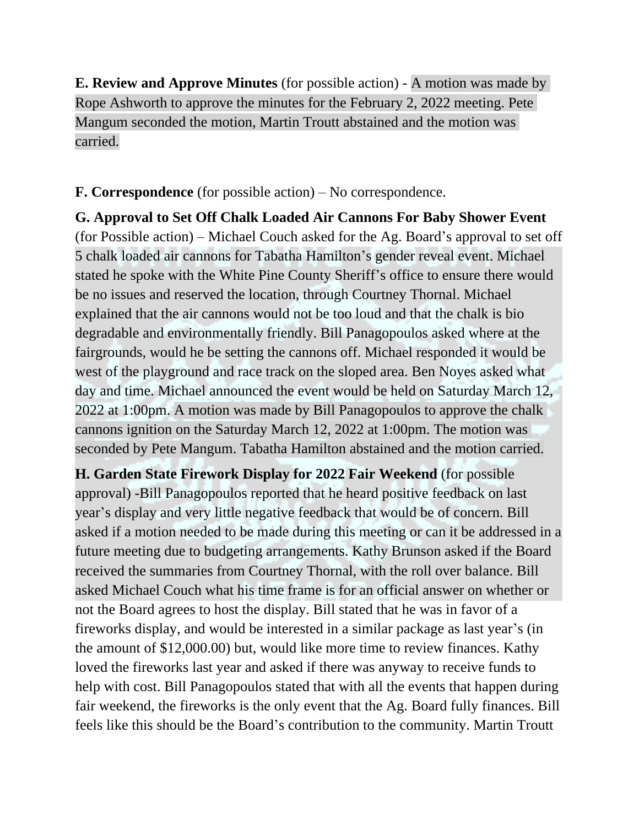**E. Review and Approve Minutes** (for possible action) - A motion was made by Rope Ashworth to approve the minutes for the February 2, 2022 meeting. Pete Mangum seconded the motion, Martin Troutt abstained and the motion was carried.

**F. Correspondence** (for possible action) – No correspondence.

**G. Approval to Set Off Chalk Loaded Air Cannons For Baby Shower Event** (for Possible action) – Michael Couch asked for the Ag. Board's approval to set off 5 chalk loaded air cannons for Tabatha Hamilton's gender reveal event. Michael stated he spoke with the White Pine County Sheriff's office to ensure there would be no issues and reserved the location, through Courtney Thornal. Michael explained that the air cannons would not be too loud and that the chalk is bio degradable and environmentally friendly. Bill Panagopoulos asked where at the fairgrounds, would he be setting the cannons off. Michael responded it would be west of the playground and race track on the sloped area. Ben Noyes asked what day and time. Michael announced the event would be held on Saturday March 12, 2022 at 1:00pm. A motion was made by Bill Panagopoulos to approve the chalk cannons ignition on the Saturday March 12, 2022 at 1:00pm. The motion was seconded by Pete Mangum. Tabatha Hamilton abstained and the motion carried.

**H. Garden State Firework Display for 2022 Fair Weekend** (for possible approval) -Bill Panagopoulos reported that he heard positive feedback on last year's display and very little negative feedback that would be of concern. Bill asked if a motion needed to be made during this meeting or can it be addressed in a future meeting due to budgeting arrangements. Kathy Brunson asked if the Board received the summaries from Courtney Thornal, with the roll over balance. Bill asked Michael Couch what his time frame is for an official answer on whether or not the Board agrees to host the display. Bill stated that he was in favor of a fireworks display, and would be interested in a similar package as last year's (in the amount of \$12,000.00) but, would like more time to review finances. Kathy loved the fireworks last year and asked if there was anyway to receive funds to help with cost. Bill Panagopoulos stated that with all the events that happen during fair weekend, the fireworks is the only event that the Ag. Board fully finances. Bill feels like this should be the Board's contribution to the community. Martin Troutt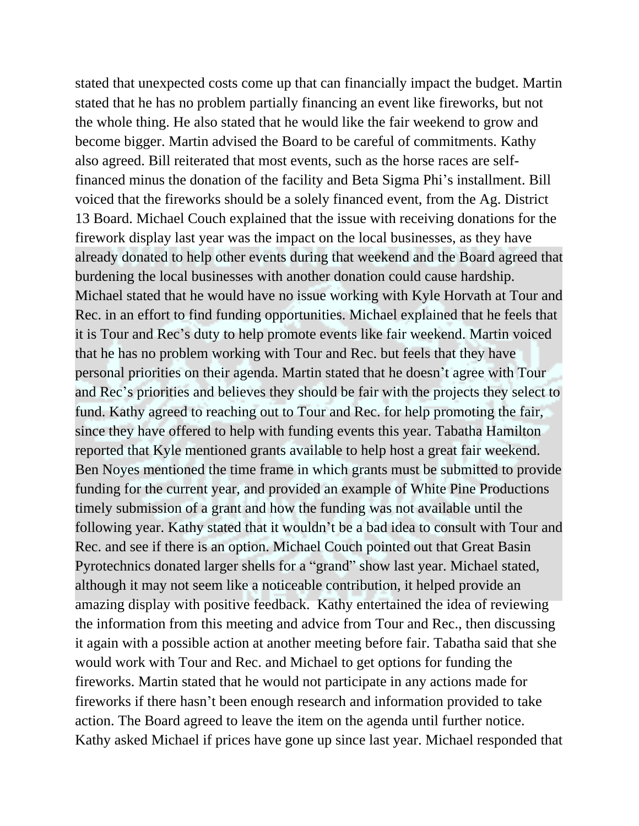stated that unexpected costs come up that can financially impact the budget. Martin stated that he has no problem partially financing an event like fireworks, but not the whole thing. He also stated that he would like the fair weekend to grow and become bigger. Martin advised the Board to be careful of commitments. Kathy also agreed. Bill reiterated that most events, such as the horse races are selffinanced minus the donation of the facility and Beta Sigma Phi's installment. Bill voiced that the fireworks should be a solely financed event, from the Ag. District 13 Board. Michael Couch explained that the issue with receiving donations for the firework display last year was the impact on the local businesses, as they have already donated to help other events during that weekend and the Board agreed that burdening the local businesses with another donation could cause hardship. Michael stated that he would have no issue working with Kyle Horvath at Tour and Rec. in an effort to find funding opportunities. Michael explained that he feels that it is Tour and Rec's duty to help promote events like fair weekend. Martin voiced that he has no problem working with Tour and Rec. but feels that they have personal priorities on their agenda. Martin stated that he doesn't agree with Tour and Rec's priorities and believes they should be fair with the projects they select to fund. Kathy agreed to reaching out to Tour and Rec. for help promoting the fair, since they have offered to help with funding events this year. Tabatha Hamilton reported that Kyle mentioned grants available to help host a great fair weekend. Ben Noyes mentioned the time frame in which grants must be submitted to provide funding for the current year, and provided an example of White Pine Productions timely submission of a grant and how the funding was not available until the following year. Kathy stated that it wouldn't be a bad idea to consult with Tour and Rec. and see if there is an option. Michael Couch pointed out that Great Basin Pyrotechnics donated larger shells for a "grand" show last year. Michael stated, although it may not seem like a noticeable contribution, it helped provide an amazing display with positive feedback. Kathy entertained the idea of reviewing the information from this meeting and advice from Tour and Rec., then discussing it again with a possible action at another meeting before fair. Tabatha said that she would work with Tour and Rec. and Michael to get options for funding the fireworks. Martin stated that he would not participate in any actions made for fireworks if there hasn't been enough research and information provided to take action. The Board agreed to leave the item on the agenda until further notice. Kathy asked Michael if prices have gone up since last year. Michael responded that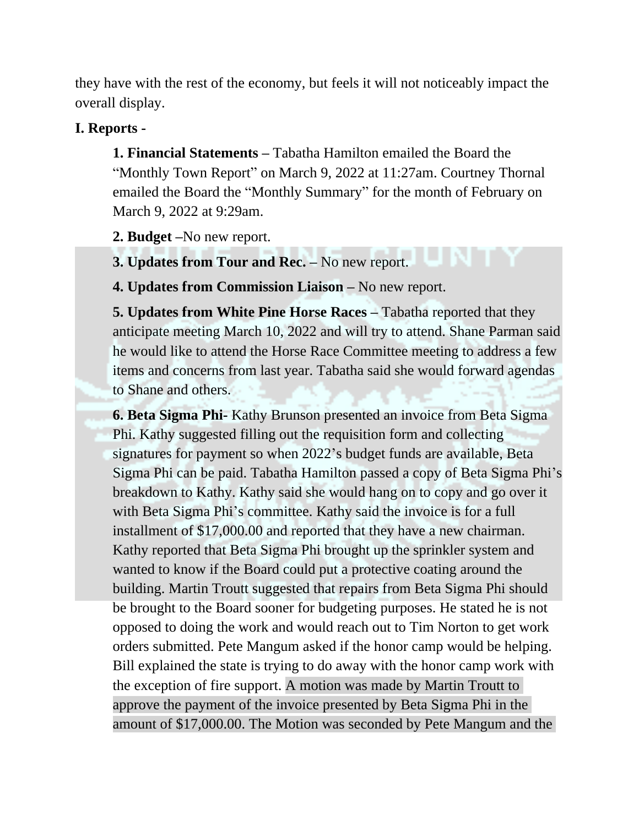they have with the rest of the economy, but feels it will not noticeably impact the overall display.

#### **I. Reports -**

**1. Financial Statements –** Tabatha Hamilton emailed the Board the "Monthly Town Report" on March 9, 2022 at 11:27am. Courtney Thornal emailed the Board the "Monthly Summary" for the month of February on March 9, 2022 at 9:29am.

**2. Budget –**No new report.

**3. Updates from Tour and Rec. –** No new report.

**4. Updates from Commission Liaison –** No new report.

**5. Updates from White Pine Horse Races –** Tabatha reported that they anticipate meeting March 10, 2022 and will try to attend. Shane Parman said he would like to attend the Horse Race Committee meeting to address a few items and concerns from last year. Tabatha said she would forward agendas to Shane and others.

**6. Beta Sigma Phi-** Kathy Brunson presented an invoice from Beta Sigma Phi. Kathy suggested filling out the requisition form and collecting signatures for payment so when 2022's budget funds are available, Beta Sigma Phi can be paid. Tabatha Hamilton passed a copy of Beta Sigma Phi's breakdown to Kathy. Kathy said she would hang on to copy and go over it with Beta Sigma Phi's committee. Kathy said the invoice is for a full installment of \$17,000.00 and reported that they have a new chairman. Kathy reported that Beta Sigma Phi brought up the sprinkler system and wanted to know if the Board could put a protective coating around the building. Martin Troutt suggested that repairs from Beta Sigma Phi should be brought to the Board sooner for budgeting purposes. He stated he is not opposed to doing the work and would reach out to Tim Norton to get work orders submitted. Pete Mangum asked if the honor camp would be helping. Bill explained the state is trying to do away with the honor camp work with the exception of fire support. A motion was made by Martin Troutt to approve the payment of the invoice presented by Beta Sigma Phi in the amount of \$17,000.00. The Motion was seconded by Pete Mangum and the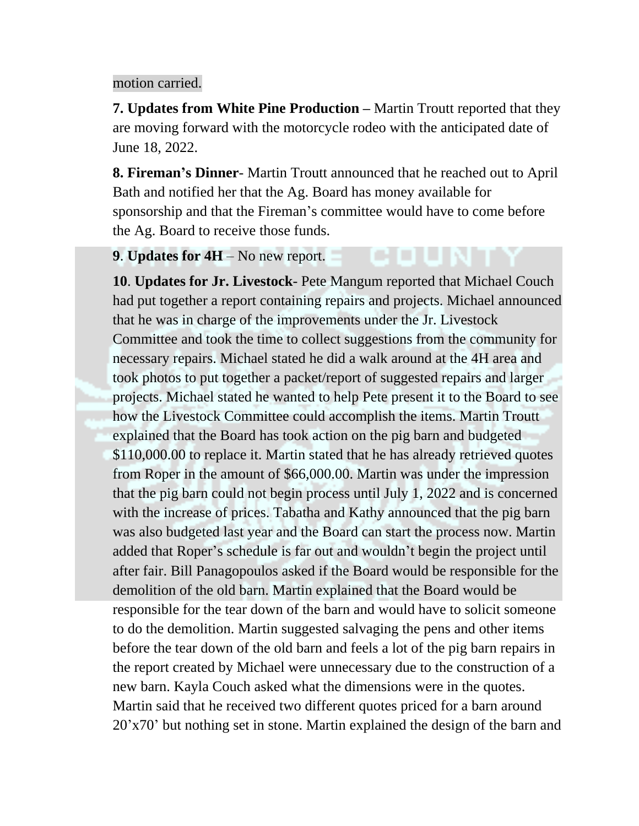#### motion carried.

**7. Updates from White Pine Production –** Martin Troutt reported that they are moving forward with the motorcycle rodeo with the anticipated date of June 18, 2022.

**8. Fireman's Dinner**- Martin Troutt announced that he reached out to April Bath and notified her that the Ag. Board has money available for sponsorship and that the Fireman's committee would have to come before the Ag. Board to receive those funds.

**9**. **Updates for 4H** – No new report.

**10**. **Updates for Jr. Livestock**- Pete Mangum reported that Michael Couch had put together a report containing repairs and projects. Michael announced that he was in charge of the improvements under the Jr. Livestock Committee and took the time to collect suggestions from the community for necessary repairs. Michael stated he did a walk around at the 4H area and took photos to put together a packet/report of suggested repairs and larger projects. Michael stated he wanted to help Pete present it to the Board to see how the Livestock Committee could accomplish the items. Martin Troutt explained that the Board has took action on the pig barn and budgeted \$110,000.00 to replace it. Martin stated that he has already retrieved quotes from Roper in the amount of \$66,000.00. Martin was under the impression that the pig barn could not begin process until July 1, 2022 and is concerned with the increase of prices. Tabatha and Kathy announced that the pig barn was also budgeted last year and the Board can start the process now. Martin added that Roper's schedule is far out and wouldn't begin the project until after fair. Bill Panagopoulos asked if the Board would be responsible for the demolition of the old barn. Martin explained that the Board would be responsible for the tear down of the barn and would have to solicit someone to do the demolition. Martin suggested salvaging the pens and other items before the tear down of the old barn and feels a lot of the pig barn repairs in the report created by Michael were unnecessary due to the construction of a new barn. Kayla Couch asked what the dimensions were in the quotes. Martin said that he received two different quotes priced for a barn around 20'x70' but nothing set in stone. Martin explained the design of the barn and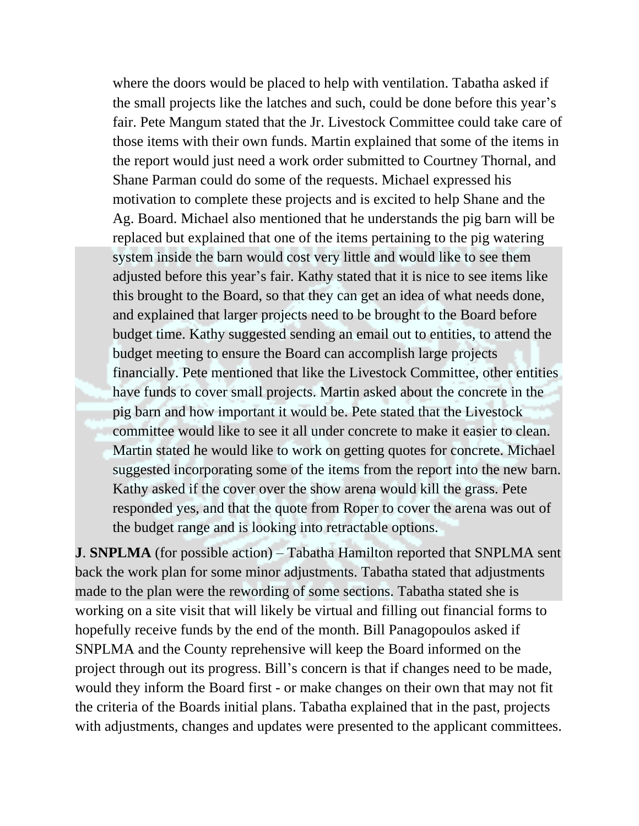where the doors would be placed to help with ventilation. Tabatha asked if the small projects like the latches and such, could be done before this year's fair. Pete Mangum stated that the Jr. Livestock Committee could take care of those items with their own funds. Martin explained that some of the items in the report would just need a work order submitted to Courtney Thornal, and Shane Parman could do some of the requests. Michael expressed his motivation to complete these projects and is excited to help Shane and the Ag. Board. Michael also mentioned that he understands the pig barn will be replaced but explained that one of the items pertaining to the pig watering system inside the barn would cost very little and would like to see them adjusted before this year's fair. Kathy stated that it is nice to see items like this brought to the Board, so that they can get an idea of what needs done, and explained that larger projects need to be brought to the Board before budget time. Kathy suggested sending an email out to entities, to attend the budget meeting to ensure the Board can accomplish large projects financially. Pete mentioned that like the Livestock Committee, other entities have funds to cover small projects. Martin asked about the concrete in the pig barn and how important it would be. Pete stated that the Livestock committee would like to see it all under concrete to make it easier to clean. Martin stated he would like to work on getting quotes for concrete. Michael suggested incorporating some of the items from the report into the new barn. Kathy asked if the cover over the show arena would kill the grass. Pete responded yes, and that the quote from Roper to cover the arena was out of the budget range and is looking into retractable options.

**J**. **SNPLMA** (for possible action) – Tabatha Hamilton reported that SNPLMA sent back the work plan for some minor adjustments. Tabatha stated that adjustments made to the plan were the rewording of some sections. Tabatha stated she is working on a site visit that will likely be virtual and filling out financial forms to hopefully receive funds by the end of the month. Bill Panagopoulos asked if SNPLMA and the County reprehensive will keep the Board informed on the project through out its progress. Bill's concern is that if changes need to be made, would they inform the Board first - or make changes on their own that may not fit the criteria of the Boards initial plans. Tabatha explained that in the past, projects with adjustments, changes and updates were presented to the applicant committees.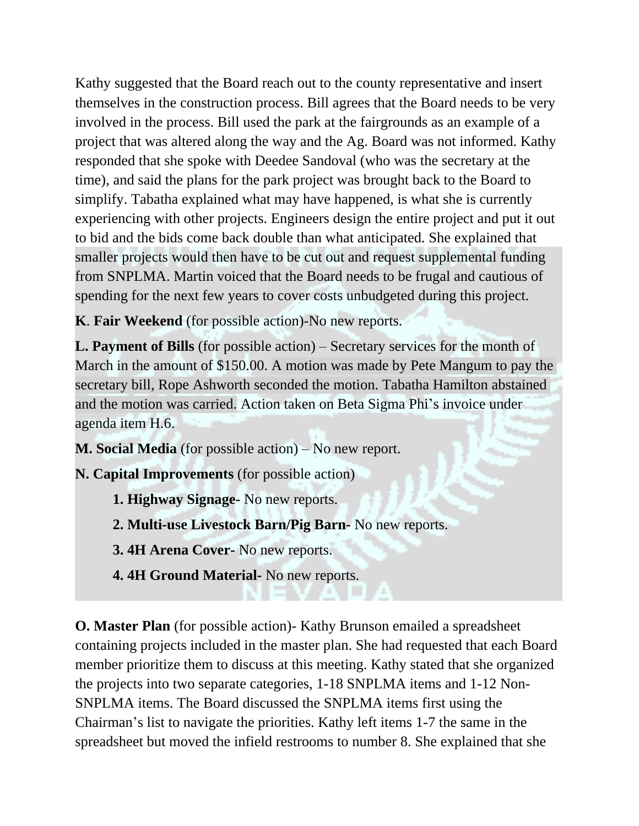Kathy suggested that the Board reach out to the county representative and insert themselves in the construction process. Bill agrees that the Board needs to be very involved in the process. Bill used the park at the fairgrounds as an example of a project that was altered along the way and the Ag. Board was not informed. Kathy responded that she spoke with Deedee Sandoval (who was the secretary at the time), and said the plans for the park project was brought back to the Board to simplify. Tabatha explained what may have happened, is what she is currently experiencing with other projects. Engineers design the entire project and put it out to bid and the bids come back double than what anticipated. She explained that smaller projects would then have to be cut out and request supplemental funding from SNPLMA. Martin voiced that the Board needs to be frugal and cautious of spending for the next few years to cover costs unbudgeted during this project.

**K**. **Fair Weekend** (for possible action)-No new reports.

**L. Payment of Bills** (for possible action) – Secretary services for the month of March in the amount of \$150.00. A motion was made by Pete Mangum to pay the secretary bill, Rope Ashworth seconded the motion. Tabatha Hamilton abstained and the motion was carried. Action taken on Beta Sigma Phi's invoice under agenda item H.6.

**M. Social Media** (for possible action) – No new report.

**N. Capital Improvements** (for possible action)

- **1. Highway Signage-** No new reports.
- **2. Multi-use Livestock Barn/Pig Barn-** No new reports.

**3. 4H Arena Cover-** No new reports.

**4. 4H Ground Material-** No new reports.

**O. Master Plan** (for possible action)- Kathy Brunson emailed a spreadsheet containing projects included in the master plan. She had requested that each Board member prioritize them to discuss at this meeting. Kathy stated that she organized the projects into two separate categories, 1-18 SNPLMA items and 1-12 Non-SNPLMA items. The Board discussed the SNPLMA items first using the Chairman's list to navigate the priorities. Kathy left items 1-7 the same in the spreadsheet but moved the infield restrooms to number 8. She explained that she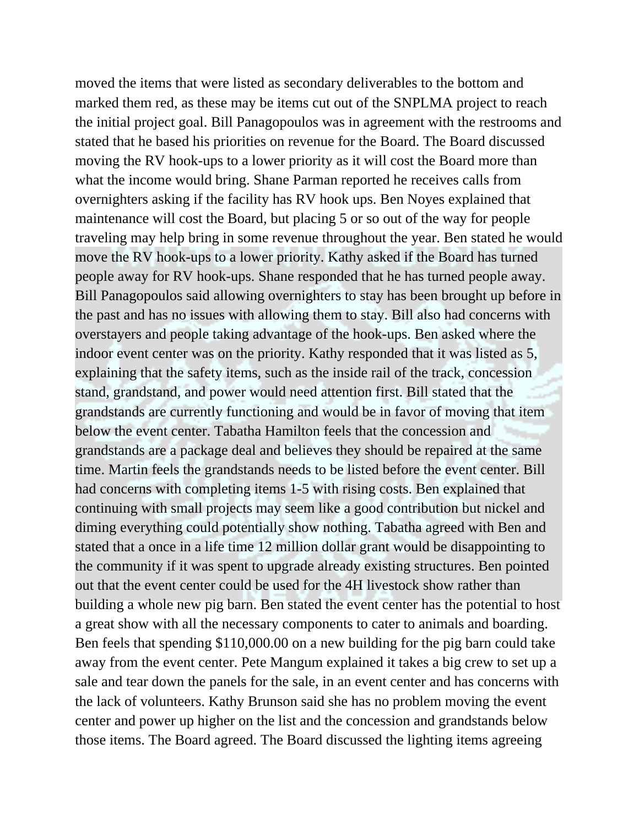moved the items that were listed as secondary deliverables to the bottom and marked them red, as these may be items cut out of the SNPLMA project to reach the initial project goal. Bill Panagopoulos was in agreement with the restrooms and stated that he based his priorities on revenue for the Board. The Board discussed moving the RV hook-ups to a lower priority as it will cost the Board more than what the income would bring. Shane Parman reported he receives calls from overnighters asking if the facility has RV hook ups. Ben Noyes explained that maintenance will cost the Board, but placing 5 or so out of the way for people traveling may help bring in some revenue throughout the year. Ben stated he would move the RV hook-ups to a lower priority. Kathy asked if the Board has turned people away for RV hook-ups. Shane responded that he has turned people away. Bill Panagopoulos said allowing overnighters to stay has been brought up before in the past and has no issues with allowing them to stay. Bill also had concerns with overstayers and people taking advantage of the hook-ups. Ben asked where the indoor event center was on the priority. Kathy responded that it was listed as 5, explaining that the safety items, such as the inside rail of the track, concession stand, grandstand, and power would need attention first. Bill stated that the grandstands are currently functioning and would be in favor of moving that item below the event center. Tabatha Hamilton feels that the concession and grandstands are a package deal and believes they should be repaired at the same time. Martin feels the grandstands needs to be listed before the event center. Bill had concerns with completing items 1-5 with rising costs. Ben explained that continuing with small projects may seem like a good contribution but nickel and diming everything could potentially show nothing. Tabatha agreed with Ben and stated that a once in a life time 12 million dollar grant would be disappointing to the community if it was spent to upgrade already existing structures. Ben pointed out that the event center could be used for the 4H livestock show rather than building a whole new pig barn. Ben stated the event center has the potential to host a great show with all the necessary components to cater to animals and boarding. Ben feels that spending \$110,000.00 on a new building for the pig barn could take away from the event center. Pete Mangum explained it takes a big crew to set up a sale and tear down the panels for the sale, in an event center and has concerns with the lack of volunteers. Kathy Brunson said she has no problem moving the event center and power up higher on the list and the concession and grandstands below those items. The Board agreed. The Board discussed the lighting items agreeing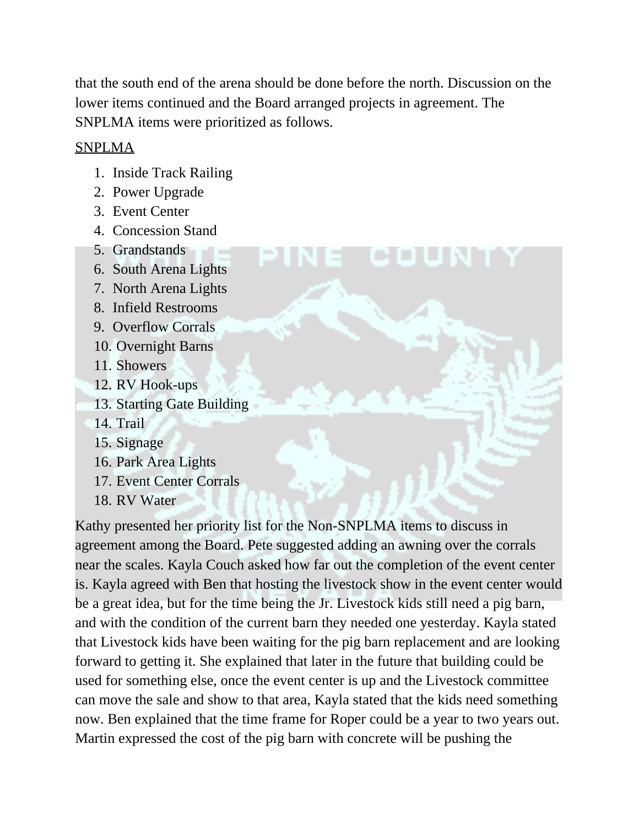that the south end of the arena should be done before the north. Discussion on the lower items continued and the Board arranged projects in agreement. The SNPLMA items were prioritized as follows.

#### SNPLMA

- 1. Inside Track Railing
- 2. Power Upgrade
- 3. Event Center
- 4. Concession Stand
- 5. Grandstands
- 6. South Arena Lights
- 7. North Arena Lights
- 8. Infield Restrooms
- 9. Overflow Corrals
- 10. Overnight Barns
- 11. Showers
- 12. RV Hook-ups
- 13. Starting Gate Building
- 14. Trail
- 15. Signage
- 16. Park Area Lights
- 17. Event Center Corrals
- 18. RV Water

Kathy presented her priority list for the Non-SNPLMA items to discuss in agreement among the Board. Pete suggested adding an awning over the corrals near the scales. Kayla Couch asked how far out the completion of the event center is. Kayla agreed with Ben that hosting the livestock show in the event center would be a great idea, but for the time being the Jr. Livestock kids still need a pig barn, and with the condition of the current barn they needed one yesterday. Kayla stated that Livestock kids have been waiting for the pig barn replacement and are looking forward to getting it. She explained that later in the future that building could be used for something else, once the event center is up and the Livestock committee can move the sale and show to that area, Kayla stated that the kids need something now. Ben explained that the time frame for Roper could be a year to two years out. Martin expressed the cost of the pig barn with concrete will be pushing the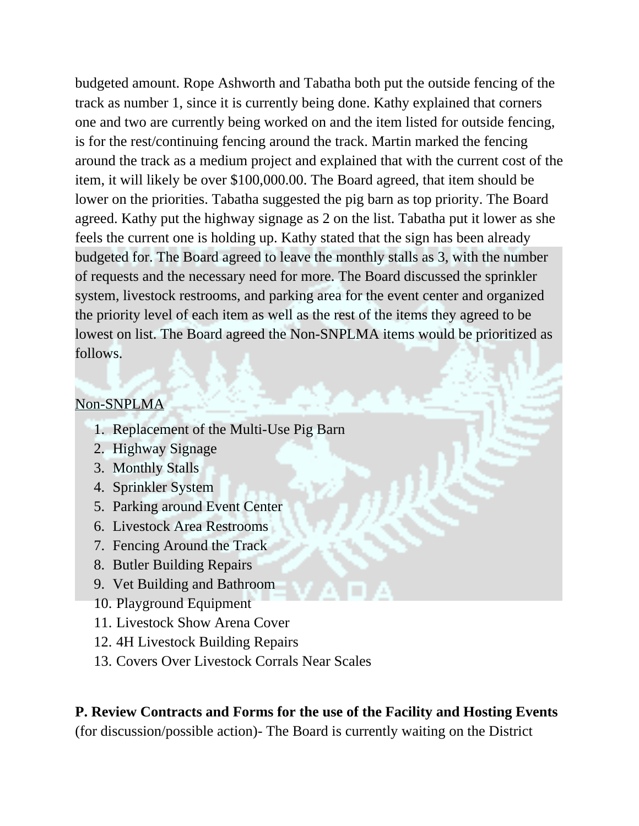budgeted amount. Rope Ashworth and Tabatha both put the outside fencing of the track as number 1, since it is currently being done. Kathy explained that corners one and two are currently being worked on and the item listed for outside fencing, is for the rest/continuing fencing around the track. Martin marked the fencing around the track as a medium project and explained that with the current cost of the item, it will likely be over \$100,000.00. The Board agreed, that item should be lower on the priorities. Tabatha suggested the pig barn as top priority. The Board agreed. Kathy put the highway signage as 2 on the list. Tabatha put it lower as she feels the current one is holding up. Kathy stated that the sign has been already budgeted for. The Board agreed to leave the monthly stalls as 3, with the number of requests and the necessary need for more. The Board discussed the sprinkler system, livestock restrooms, and parking area for the event center and organized the priority level of each item as well as the rest of the items they agreed to be lowest on list. The Board agreed the Non-SNPLMA items would be prioritized as follows.

#### Non-SNPLMA

- 1. Replacement of the Multi-Use Pig Barn
- 2. Highway Signage
- 3. Monthly Stalls
- 4. Sprinkler System
- 5. Parking around Event Center
- 6. Livestock Area Restrooms
- 7. Fencing Around the Track
- 8. Butler Building Repairs
- 9. Vet Building and Bathroom
- 10. Playground Equipment
- 11. Livestock Show Arena Cover
- 12. 4H Livestock Building Repairs
- 13. Covers Over Livestock Corrals Near Scales

# **P. Review Contracts and Forms for the use of the Facility and Hosting Events**

(for discussion/possible action)- The Board is currently waiting on the District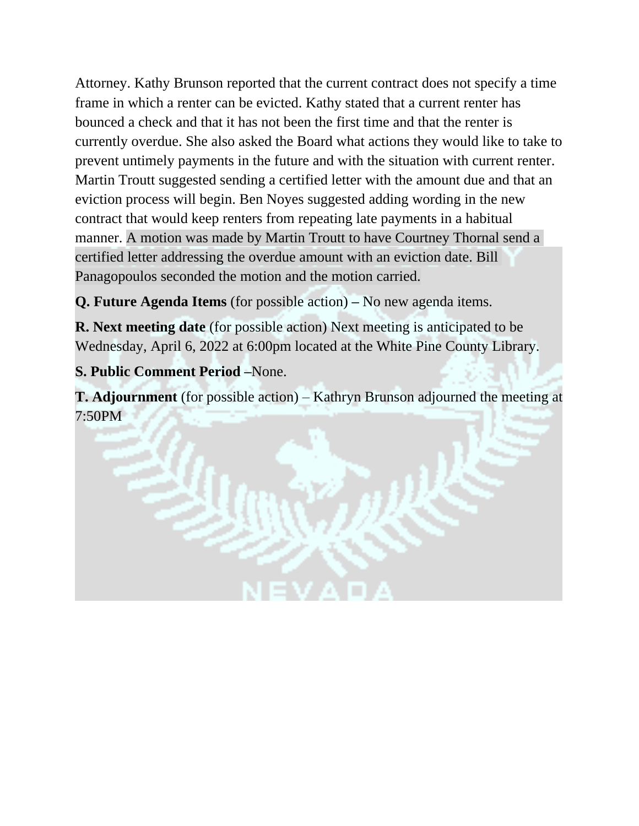Attorney. Kathy Brunson reported that the current contract does not specify a time frame in which a renter can be evicted. Kathy stated that a current renter has bounced a check and that it has not been the first time and that the renter is currently overdue. She also asked the Board what actions they would like to take to prevent untimely payments in the future and with the situation with current renter. Martin Troutt suggested sending a certified letter with the amount due and that an eviction process will begin. Ben Noyes suggested adding wording in the new contract that would keep renters from repeating late payments in a habitual manner. A motion was made by Martin Troutt to have Courtney Thornal send a certified letter addressing the overdue amount with an eviction date. Bill Panagopoulos seconded the motion and the motion carried.

**Q. Future Agenda Items** (for possible action) **–** No new agenda items.

**R. Next meeting date** (for possible action) Next meeting is anticipated to be Wednesday, April 6, 2022 at 6:00pm located at the White Pine County Library.

# **S. Public Comment Period –**None.

**T. Adjournment** (for possible action) – Kathryn Brunson adjourned the meeting at 7:50PM

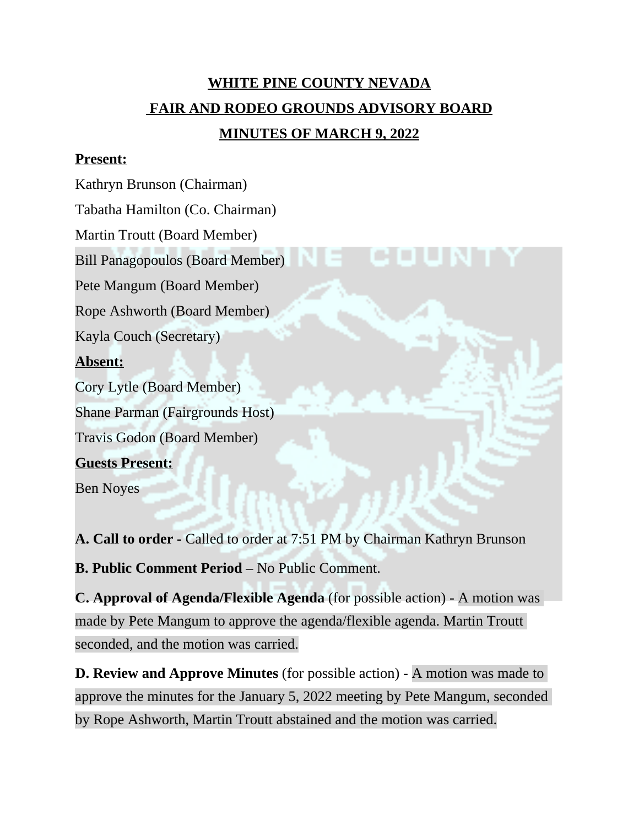# **WHITE PINE COUNTY NEVADA FAIR AND RODEO GROUNDS ADVISORY BOARD MINUTES OF MARCH 9, 2022**

#### **Present:**

Kathryn Brunson (Chairman)

Tabatha Hamilton (Co. Chairman)

Martin Troutt (Board Member)

Bill Panagopoulos (Board Member)

Pete Mangum (Board Member)

Rope Ashworth (Board Member)

Kayla Couch (Secretary)

#### **Absent:**

Cory Lytle (Board Member)

Shane Parman (Fairgrounds Host)

Travis Godon (Board Member)

# **Guests Present:**

Ben Noyes

**A. Call to order -** Called to order at 7:51 PM by Chairman Kathryn Brunson

**B. Public Comment Period –** No Public Comment.

**C. Approval of Agenda/Flexible Agenda** (for possible action) - A motion was made by Pete Mangum to approve the agenda/flexible agenda. Martin Troutt seconded, and the motion was carried.

**D. Review and Approve Minutes** (for possible action) - A motion was made to approve the minutes for the January 5, 2022 meeting by Pete Mangum, seconded by Rope Ashworth, Martin Troutt abstained and the motion was carried.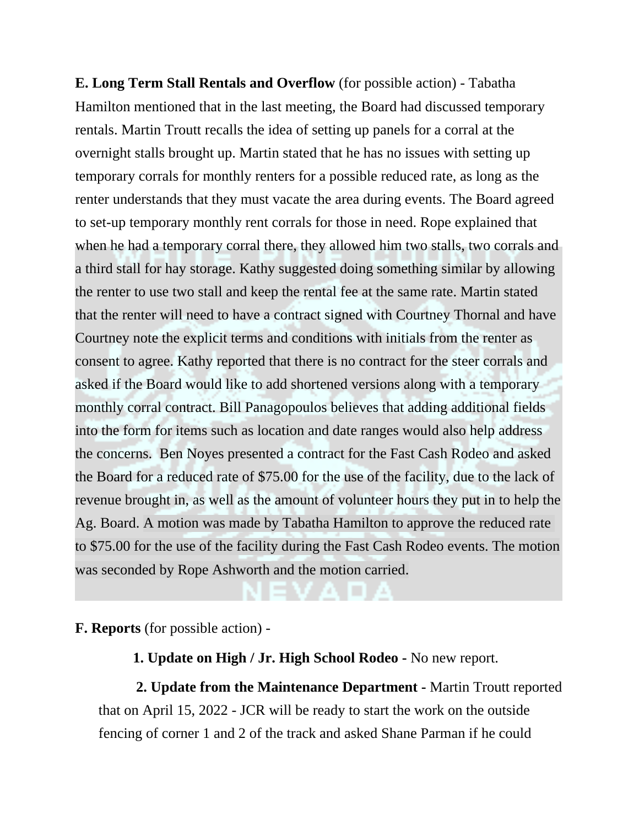**E. Long Term Stall Rentals and Overflow** (for possible action) - Tabatha Hamilton mentioned that in the last meeting, the Board had discussed temporary rentals. Martin Troutt recalls the idea of setting up panels for a corral at the overnight stalls brought up. Martin stated that he has no issues with setting up temporary corrals for monthly renters for a possible reduced rate, as long as the renter understands that they must vacate the area during events. The Board agreed to set-up temporary monthly rent corrals for those in need. Rope explained that when he had a temporary corral there, they allowed him two stalls, two corrals and a third stall for hay storage. Kathy suggested doing something similar by allowing the renter to use two stall and keep the rental fee at the same rate. Martin stated that the renter will need to have a contract signed with Courtney Thornal and have Courtney note the explicit terms and conditions with initials from the renter as consent to agree. Kathy reported that there is no contract for the steer corrals and asked if the Board would like to add shortened versions along with a temporary monthly corral contract. Bill Panagopoulos believes that adding additional fields into the form for items such as location and date ranges would also help address the concerns. Ben Noyes presented a contract for the Fast Cash Rodeo and asked the Board for a reduced rate of \$75.00 for the use of the facility, due to the lack of revenue brought in, as well as the amount of volunteer hours they put in to help the Ag. Board. A motion was made by Tabatha Hamilton to approve the reduced rate to \$75.00 for the use of the facility during the Fast Cash Rodeo events. The motion was seconded by Rope Ashworth and the motion carried.

**F. Reports** (for possible action) -

 **1. Update on High / Jr. High School Rodeo -** No new report.

**2. Update from the Maintenance Department -** Martin Troutt reported that on April 15, 2022 - JCR will be ready to start the work on the outside fencing of corner 1 and 2 of the track and asked Shane Parman if he could